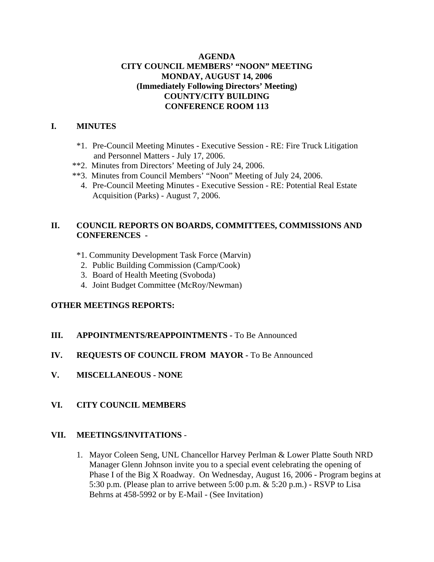## **AGENDA CITY COUNCIL MEMBERS' "NOON" MEETING MONDAY, AUGUST 14, 2006 (Immediately Following Directors' Meeting) COUNTY/CITY BUILDING CONFERENCE ROOM 113**

#### **I. MINUTES**

- \*1. Pre-Council Meeting Minutes Executive Session RE: Fire Truck Litigation and Personnel Matters - July 17, 2006.
- \*\*2. Minutes from Directors' Meeting of July 24, 2006.
- \*\*3. Minutes from Council Members' "Noon" Meeting of July 24, 2006.
	- 4. Pre-Council Meeting Minutes Executive Session RE: Potential Real Estate Acquisition (Parks) - August 7, 2006.

# **II. COUNCIL REPORTS ON BOARDS, COMMITTEES, COMMISSIONS AND CONFERENCES -**

- \*1. Community Development Task Force (Marvin)
- 2. Public Building Commission (Camp/Cook)
- 3. Board of Health Meeting (Svoboda)
- 4. Joint Budget Committee (McRoy/Newman)

## **OTHER MEETINGS REPORTS:**

- **III.** APPOINTMENTS/REAPPOINTMENTS To Be Announced
- **IV. REQUESTS OF COUNCIL FROM MAYOR -** To Be Announced
- **V. MISCELLANEOUS NONE**

## **VI. CITY COUNCIL MEMBERS**

## **VII. MEETINGS/INVITATIONS** -

1. Mayor Coleen Seng, UNL Chancellor Harvey Perlman & Lower Platte South NRD Manager Glenn Johnson invite you to a special event celebrating the opening of Phase I of the Big X Roadway. On Wednesday, August 16, 2006 - Program begins at 5:30 p.m. (Please plan to arrive between 5:00 p.m. & 5:20 p.m.) - RSVP to Lisa Behrns at 458-5992 or by E-Mail - (See Invitation)